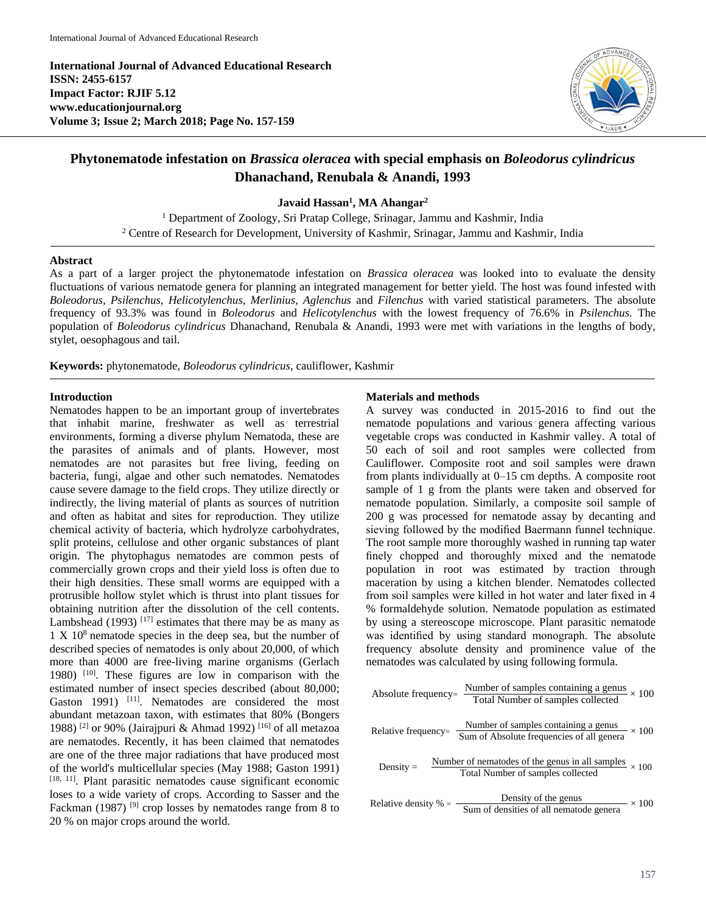**International Journal of Advanced Educational Research ISSN: 2455-6157 Impact Factor: RJIF 5.12 www.educationjournal.org Volume 3; Issue 2; March 2018; Page No. 157-159**



# **Phytonematode infestation on** *Brassica oleracea* **with special emphasis on** *Boleodorus cylindricus*  **Dhanachand, Renubala & Anandi, 1993**

**Javaid Hassan<sup>1</sup> , MA Ahangar<sup>2</sup>**

<sup>1</sup> Department of Zoology, Sri Pratap College, Srinagar, Jammu and Kashmir, India <sup>2</sup> Centre of Research for Development, University of Kashmir, Srinagar, Jammu and Kashmir, India

#### **Abstract**

As a part of a larger project the phytonematode infestation on *Brassica oleracea* was looked into to evaluate the density fluctuations of various nematode genera for planning an integrated management for better yield. The host was found infested with *Boleodorus, Psilenchus, Helicotylenchus, Merlinius, Aglenchus* and *Filenchus* with varied statistical parameters. The absolute frequency of 93.3% was found in *Boleodorus* and *Helicotylenchus* with the lowest frequency of 76.6% in *Psilenchus.* The population of *Boleodorus cylindricus* Dhanachand, Renubala & Anandi, 1993 were met with variations in the lengths of body, stylet, oesophagous and tail.

**Keywords:** phytonematode, *Boleodorus cylindricus*, cauliflower, Kashmir

### **Introduction**

Nematodes happen to be an important group of invertebrates that inhabit marine, freshwater as well as terrestrial environments, forming a diverse phylum Nematoda, these are the parasites of animals and of plants. However, most nematodes are not parasites but free living, feeding on bacteria, fungi, algae and other such nematodes. Nematodes cause severe damage to the field crops. They utilize directly or indirectly, the living material of plants as sources of nutrition and often as habitat and sites for reproduction. They utilize chemical activity of bacteria, which hydrolyze carbohydrates, split proteins, cellulose and other organic substances of plant origin. The phytophagus nematodes are common pests of commercially grown crops and their yield loss is often due to their high densities. These small worms are equipped with a protrusible hollow stylet which is thrust into plant tissues for obtaining nutrition after the dissolution of the cell contents. Lambshead (1993)  $[17]$  estimates that there may be as many as  $1 \times 10^8$  nematode species in the deep sea, but the number of described species of nematodes is only about 20,000, of which more than 4000 are free-living marine organisms (Gerlach 1980)  $[10]$ . These figures are low in comparison with the estimated number of insect species described (about 80,000; Gaston 1991) <sup>[11]</sup>. Nematodes are considered the most abundant metazoan taxon, with estimates that 80% (Bongers 1988) [2] or 90% (Jairajpuri & Ahmad 1992) [16] of all metazoa are nematodes. Recently, it has been claimed that nematodes are one of the three major radiations that have produced most of the world's multicellular species (May 1988; Gaston 1991) [18, 11]. Plant parasitic nematodes cause significant economic loses to a wide variety of crops. According to Sasser and the Fackman (1987)<sup>[9]</sup> crop losses by nematodes range from 8 to 20 % on major crops around the world.

#### **Materials and methods**

A survey was conducted in 2015-2016 to find out the nematode populations and various genera affecting various vegetable crops was conducted in Kashmir valley. A total of 50 each of soil and root samples were collected from Cauliflower. Composite root and soil samples were drawn from plants individually at 0–15 cm depths. A composite root sample of 1 g from the plants were taken and observed for nematode population. Similarly, a composite soil sample of 200 g was processed for nematode assay by decanting and sieving followed by the modified Baermann funnel technique. The root sample more thoroughly washed in running tap water finely chopped and thoroughly mixed and the nematode population in root was estimated by traction through maceration by using a kitchen blender. Nematodes collected from soil samples were killed in hot water and later fixed in 4 % formaldehyde solution. Nematode population as estimated by using a stereoscope microscope. Plant parasitic nematode was identified by using standard monograph. The absolute frequency absolute density and prominence value of the nematodes was calculated by using following formula.

\nAbsolute frequency = 
$$
\frac{\text{Number of samples containing a genus}}{\text{Total Number of samples collected}} \times 100
$$
\n

\n\nRelative frequency =  $\frac{\text{Number of samples containing a genus}}{\text{Sum of Absolute frequencies of all genera}} \times 100$ \n

\n\nDensity =  $\frac{\text{Number of members of all genes in all samples}}{\text{Total Number of samples collected}} \times 100$ \n

\n\nRelative density % =  $\frac{\text{Density of the genus in all samples}}{\text{Sum of densities of all nematode genera}} \times 100$ \n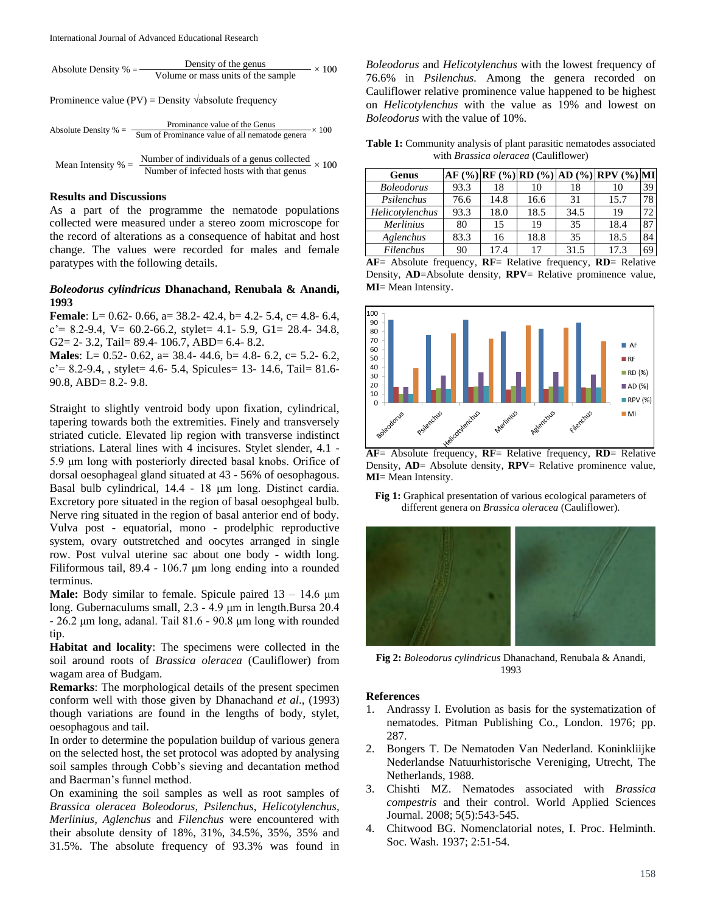Absolute Density % = 
$$
\frac{\text{Density of the genus}}{\text{Volume or mass units of the sample}} \times 100
$$

Prominence value (PV) = Density  $\sqrt{ab}$ solute frequency

Absolute Density % = 
$$
\frac{\text{Prominance value of the Genus}}{\text{Sum of Prominance value of all nematode genera}} \times 100
$$
\nMean Intensity % =  $\frac{\text{Number of individuals of a genus collected}}{\text{Number of infected hosts with that genus}} \times 100$ 

#### **Results and Discussions**

As a part of the programme the nematode populations collected were measured under a stereo zoom microscope for the record of alterations as a consequence of habitat and host change. The values were recorded for males and female paratypes with the following details.

## *Boleodorus cylindricus* **Dhanachand, Renubala & Anandi, 1993**

**Female**: L= 0.62- 0.66, a= 38.2- 42.4, b= 4.2- 5.4, c= 4.8- 6.4,  $c' = 8.2 - 9.4$ ,  $V = 60.2 - 66.2$ , stylet = 4.1 - 5.9, G1 = 28.4 - 34.8, G2= 2- 3.2, Tail= 89.4- 106.7, ABD= 6.4- 8.2.

**Males**: L= 0.52- 0.62, a= 38.4- 44.6, b= 4.8- 6.2, c= 5.2- 6.2,  $c' = 8.2 - 9.4$ , stylet = 4.6 - 5.4, Spicules = 13 - 14.6, Tail = 81.6 -90.8, ABD= 8.2- 9.8.

Straight to slightly ventroid body upon fixation, cylindrical, tapering towards both the extremities. Finely and transversely striated cuticle. Elevated lip region with transverse indistinct striations. Lateral lines with 4 incisures. Stylet slender, 4.1 - 5.9 μm long with posteriorly directed basal knobs. Orifice of dorsal oesophageal gland situated at 43 - 56% of oesophagous. Basal bulb cylindrical, 14.4 - 18 μm long. Distinct cardia. Excretory pore situated in the region of basal oesophgeal bulb. Nerve ring situated in the region of basal anterior end of body. Vulva post - equatorial, mono - prodelphic reproductive system, ovary outstretched and oocytes arranged in single row. Post vulval uterine sac about one body - width long. Filiformous tail, 89.4 - 106.7 μm long ending into a rounded terminus.

**Male:** Body similar to female. Spicule paired 13 – 14.6 μm long. Gubernaculums small, 2.3 - 4.9 μm in length.Bursa 20.4 - 26.2 μm long, adanal. Tail 81.6 - 90.8 μm long with rounded tip.

**Habitat and locality**: The specimens were collected in the soil around roots of *Brassica oleracea* (Cauliflower) from wagam area of Budgam.

**Remarks**: The morphological details of the present specimen conform well with those given by Dhanachand *et al*., (1993) though variations are found in the lengths of body, stylet, oesophagous and tail.

In order to determine the population buildup of various genera on the selected host, the set protocol was adopted by analysing soil samples through Cobb's sieving and decantation method and Baerman's funnel method.

On examining the soil samples as well as root samples of *Brassica oleracea Boleodorus, Psilenchus, Helicotylenchus, Merlinius, Aglenchus* and *Filenchus* were encountered with their absolute density of 18%, 31%, 34.5%, 35%, 35% and 31.5%. The absolute frequency of 93.3% was found in *Boleodorus* and *Helicotylenchus* with the lowest frequency of 76.6% in *Psilenchus.* Among the genera recorded on Cauliflower relative prominence value happened to be highest on *Helicotylenchus* with the value as 19% and lowest on *Boleodorus* with the value of 10%.

**Table 1:** Community analysis of plant parasitic nematodes associated with *Brassica oleracea* (Cauliflower)

| Genus             |      |      |      |      | AF (%) RF (%) RD (%) AD (%) RPV (%) MI |    |
|-------------------|------|------|------|------|----------------------------------------|----|
| <b>Boleodorus</b> | 93.3 | 18   | 10   | 18   | 10                                     | 39 |
| Psilenchus        | 76.6 | 14.8 | 16.6 | 31   | 15.7                                   | 78 |
| Helicotylenchus   | 93.3 | 18.0 | 18.5 | 34.5 | 19                                     | 72 |
| <b>Merlinius</b>  | 80   | 15   | 19   | 35   | 18.4                                   | 87 |
| Aglenchus         | 83.3 | 16   | 18.8 | 35   | 18.5                                   | 84 |
| Filenchus         | 90   | 17.4 | 17   | 31.5 | 17.3                                   | 69 |

**AF**= Absolute frequency, **RF**= Relative frequency, **RD**= Relative Density, **AD**=Absolute density, **RPV**= Relative prominence value, **MI**= Mean Intensity.



**AF**= Absolute frequency, **RF**= Relative frequency, **RD**= Relative Density, **AD**= Absolute density, **RPV**= Relative prominence value, **MI**= Mean Intensity.

**Fig 1:** Graphical presentation of various ecological parameters of different genera on *Brassica oleracea* (Cauliflower).



**Fig 2:** *Boleodorus cylindricus* Dhanachand, Renubala & Anandi, 1993

#### **References**

- 1. Andrassy I. Evolution as basis for the systematization of nematodes. Pitman Publishing Co., London. 1976; pp. 287.
- 2. Bongers T. De Nematoden Van Nederland. Koninkliijke Nederlandse Natuurhistorische Vereniging, Utrecht, The Netherlands, 1988.
- 3. Chishti MZ. Nematodes associated with *Brassica compestris* and their control. World Applied Sciences Journal. 2008; 5(5):543-545.
- 4. Chitwood BG. Nomenclatorial notes, I. Proc. Helminth. Soc. Wash. 1937; 2:51-54.